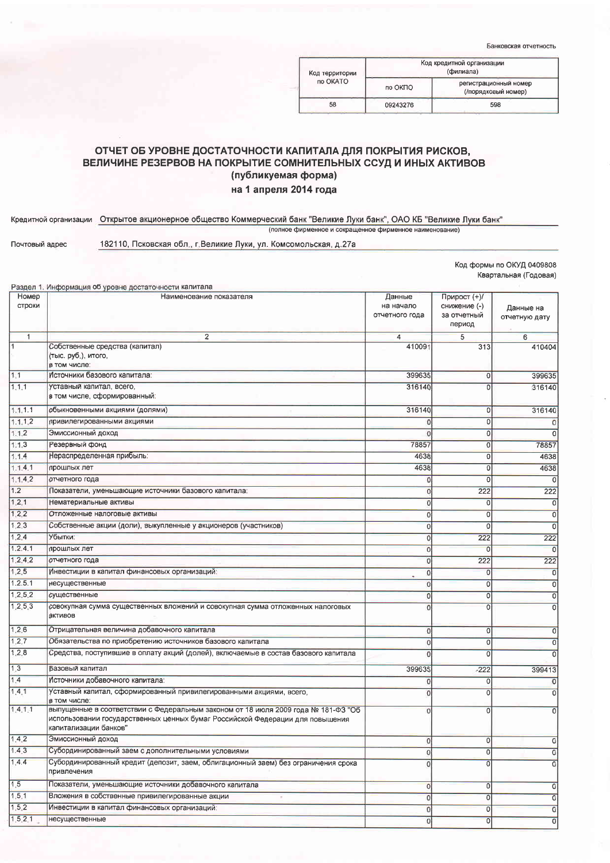Банковская отчетность

| Код территории | Код кредитной организации<br>(филиала) |                                              |  |
|----------------|----------------------------------------|----------------------------------------------|--|
| no OKATO       | no OKITO                               | регистрационный номер<br>(/порядковый номер) |  |
| 58             | 09243276                               | 598                                          |  |
|                |                                        |                                              |  |

## ОТЧЕТ ОБ УРОВНЕ ДОСТАТОЧНОСТИ КАПИТАЛА ДЛЯ ПОКРЫТИЯ РИСКОВ, ВЕЛИЧИНЕ РЕЗЕРВОВ НА ПОКРЫТИЕ СОМНИТЕЛЬНЫХ ССУД И ИНЫХ АКТИВОВ (публикуемая форма) на 1 апреля 2014 года

## Кредитной организации Открытое акционерное общество Коммерческий банк "Великие Луки банк", ОАО КБ "Великие Луки банк" (полное фирменное и сокращенное фирменное наименование)

Почтовый адрес

Разлел 1. Информация об уровне достаточности капитала

182110, Псковская обл., г. Великие Луки, ул. Комсомольская, д.27а

Код формы по ОКУД 0409808 Квартальная (Годовая)

| Номер          | Наименование показателя                                                                                                                                                                     | Данные         | Прирост (+)/          |                |
|----------------|---------------------------------------------------------------------------------------------------------------------------------------------------------------------------------------------|----------------|-----------------------|----------------|
| строки         |                                                                                                                                                                                             | на начало      | снижение (-)          | Данные на      |
|                |                                                                                                                                                                                             | отчетного года | за отчетный<br>период | отчетную дату  |
| $\overline{1}$ | $\overline{2}$                                                                                                                                                                              | $\overline{4}$ | 5                     | 6              |
| $\mathbf{1}$   | Собственные средства (капитал)                                                                                                                                                              | 410091         | 313                   | 410404         |
|                | (тыс. руб.), итого,                                                                                                                                                                         |                |                       |                |
|                | в том числе:                                                                                                                                                                                |                |                       |                |
| 1.1            | Источники базового капитала:                                                                                                                                                                | 399635         | 0                     | 399635         |
| 1.1.1          | Уставный капитал, всего,<br>в том числе, сформированный:                                                                                                                                    | 316140         | $\Omega$              | 316140         |
| 1.1.1.1        | обыкновенными акциями (долями)                                                                                                                                                              | 316140         | $\overline{0}$        | 316140         |
| 1.1.1.2        | привилегированными акциями                                                                                                                                                                  |                | $\mathbf 0$           | $\circ$        |
| 1.1.2          | Эмиссионный доход                                                                                                                                                                           |                | 0                     | $\circ$        |
| 1.1.3          | Резервный фонд                                                                                                                                                                              | 78857          | $\mathbf 0$           | 78857          |
| 1.1.4          | Нераспределенная прибыль:                                                                                                                                                                   | 4638           | 0                     | 4638           |
| 1.1.4.1        | прошлых лет                                                                                                                                                                                 | 4638           | $\bf{0}$              | 4638           |
| 1.1.4.2        | отчетного года                                                                                                                                                                              |                | 0                     | $\circ$        |
| 1.2            | Показатели, уменьшающие источники базового капитала:                                                                                                                                        |                | 222                   | 222            |
| 1.2.1          | Нематериальные активы                                                                                                                                                                       | $\Omega$       | $\overline{0}$        | $\Omega$       |
| 1.2.2          | Отложенные налоговые активы                                                                                                                                                                 |                | $\overline{0}$        | 0              |
| 1.2.3          | Собственные акции (доли), выкупленные у акционеров (участников)                                                                                                                             | $\overline{0}$ | $\overline{0}$        | 0              |
| 1.2.4          | Убытки:                                                                                                                                                                                     | 0              | 222                   | 222            |
| 1, 2, 4, 1     | прошлых лет                                                                                                                                                                                 | 0              | $\overline{0}$        | 0              |
| 1.2.4.2        | отчетного года                                                                                                                                                                              | 0              | 222                   | 222            |
| 1, 2.5         | Инвестиции в капитал финансовых организаций:                                                                                                                                                | $\Omega$       | $\mathbf 0$           | $\overline{0}$ |
| 1.2.5.1        | несущественные                                                                                                                                                                              | $\overline{0}$ | 0                     | 0              |
| 1.2.5.2        | существенные                                                                                                                                                                                | $\Omega$       | 0                     | $\circ$        |
| 1.2.5.3        | совокупная сумма существенных вложений и совокупная сумма отложенных налоговых                                                                                                              | $\overline{C}$ | $\mathbf 0$           | $\circ$        |
|                | активов                                                                                                                                                                                     |                |                       |                |
| 1.2.6          | Отрицательная величина добавочного капитала                                                                                                                                                 | 0              | 0                     | $\circ$        |
| 1.2.7          | Обязательства по приобретению источников базового капитала                                                                                                                                  | $\Omega$       | 0                     | $\Omega$       |
| 1.2.8          | Средства, поступившие в оплату акций (долей), включаемые в состав базового капитала                                                                                                         | $\Omega$       | $\Omega$              | $\circ$        |
| 1,3            | Базовый капитал                                                                                                                                                                             | 399635         | $-222$                | 399413         |
| 1.4            | Источники добавочного капитала:                                                                                                                                                             | 0              | 0                     | $\circ$        |
| 1.4.1          | Уставный капитал, сформированный привилегированными акциями, всего,<br>в том числе:                                                                                                         |                | 0                     | 0              |
| 1.4.1.1        | выпущенные в соответствии с Федеральным законом от 18 июля 2009 года № 181-ФЗ "Об<br>использовании государственных ценных бумаг Российской Федерации для повышения<br>капитализации банков" | $\Omega$       | 0                     | 0              |
| 1.4.2          | Эмиссионный доход                                                                                                                                                                           | 0              | 0                     | 0              |
| 1.4.3          | Субординированный заем с дополнительными условиями                                                                                                                                          |                | 0                     | 0              |
| 1.4.4          | Субординированный кредит (депозит, заем, облигационный заем) без ограничения срока<br>привлечения                                                                                           |                | $\overline{0}$        | $\overline{0}$ |
| 1.5            | Показатели, уменьшающие источники добавочного капитала                                                                                                                                      | $\overline{0}$ | 0                     | 0              |
| 1.5.1          | Вложения в собственные привилегированные акции                                                                                                                                              | $\overline{0}$ | 0                     | $\overline{0}$ |
| 1.5.2          | Инвестиции в капитал финансовых организаций:                                                                                                                                                | 0              | $\overline{0}$        | 0              |
| 1, 5, 2, 1     | несущественные                                                                                                                                                                              | 0              | 0                     | 0              |
|                |                                                                                                                                                                                             |                |                       |                |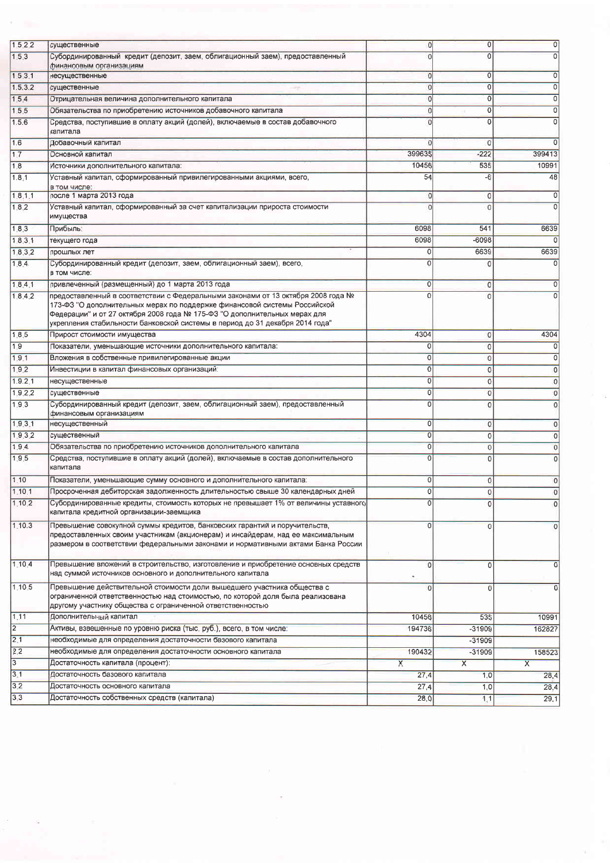| 1.5.2.2          | существенные                                                                                                                                                                                                                                                                                                               | Ö              | $\overline{0}$          | $\overline{0}$          |
|------------------|----------------------------------------------------------------------------------------------------------------------------------------------------------------------------------------------------------------------------------------------------------------------------------------------------------------------------|----------------|-------------------------|-------------------------|
| 153              | Субординированный кредит (депозит, заем, облигационный заем), предоставленный                                                                                                                                                                                                                                              |                | $\overline{0}$          | 0                       |
|                  | финансовым организациям                                                                                                                                                                                                                                                                                                    |                |                         |                         |
| 1.5.3.1          | несущественные                                                                                                                                                                                                                                                                                                             | O              | 0                       | 0                       |
| 1.5.3.2          | существенные                                                                                                                                                                                                                                                                                                               | Ō              | $\overline{0}$          | $\overline{0}$          |
| 1.5.4            | Отрицательная величина дополнительного капитала                                                                                                                                                                                                                                                                            |                | $\mathbf 0$             | 0                       |
| 155              | Обязательства по приобретению источников добавочного капитала                                                                                                                                                                                                                                                              | Ω              | $\overline{0}$          | 0                       |
| 1.5.6            | Средства, поступившие в оплату акций (долей), включаемые в состав добавочного<br>капитала                                                                                                                                                                                                                                  |                | $\Omega$                | 0                       |
| 1.6              | Добавочный капитал                                                                                                                                                                                                                                                                                                         |                | $\mathbf 0$             | $\Omega$                |
| 1.7              | Основной капитал                                                                                                                                                                                                                                                                                                           | 399635         | $-222$                  | 399413                  |
| 18               | Источники дополнительного капитала:                                                                                                                                                                                                                                                                                        | 10456          | 535                     | 10991                   |
| 1.8,1            | Уставный капитал, сформированный привилегированными акциями, всего,<br>в том числе:                                                                                                                                                                                                                                        | 54             | -6                      | 48                      |
| 1.8.1.1          | после 1 марта 2013 года                                                                                                                                                                                                                                                                                                    | O              | $\mathbf 0$             | 0                       |
| 1.8.2            | Уставный капитал, сформированный за счет капитализации прироста стоимости<br>имущества                                                                                                                                                                                                                                     |                | $\Omega$                | $\mathbf 0$             |
| 1.8.3            | Прибыль∶                                                                                                                                                                                                                                                                                                                   | 6098           | 541                     | 6639                    |
| 1.8.3.1          | текущего года                                                                                                                                                                                                                                                                                                              | 6098           | -6098                   |                         |
| 1.8.3.2          | прошлых лет                                                                                                                                                                                                                                                                                                                | 0              | 6639                    | 6639                    |
| 1.8.4            | Субординированный кредит (депозит, заем, облигационный заем), всего,                                                                                                                                                                                                                                                       | $\Omega$       |                         |                         |
|                  | в том числе:                                                                                                                                                                                                                                                                                                               |                |                         |                         |
| 1.8.4.1          | привлеченный (размещенный) до 1 марта 2013 года                                                                                                                                                                                                                                                                            | $\overline{0}$ | $\circ$                 | 0                       |
| 1.8.4.2          | предоставленный в соответствии с Федеральными законами от 13 октября 2008 года №<br>173-ФЗ "О дополнительных мерах по поддержке финансовой системы Российской<br>Федерации" и от 27 октября 2008 года № 175-ФЗ "О дополнительных мерах для<br>укрепления стабильности банковской системы в период до 31 декабря 2014 года" | $\Omega$       | $\Omega$                |                         |
| 1.8.5            | Прирост стоимости имущества                                                                                                                                                                                                                                                                                                | 4304           | 0                       | 4304                    |
| 1.9              | Показатели, уменьшающие источники дополнительного капитала:                                                                                                                                                                                                                                                                | 0              | O                       | 0                       |
| 1.9.1            | Вложения в собственные привилегированные акции                                                                                                                                                                                                                                                                             | $\overline{0}$ | 0                       | $\overline{0}$          |
| 1.9.2            | Инвестиции в капитал финансовых организаций:                                                                                                                                                                                                                                                                               | $\overline{0}$ | $\circ$                 | $\overline{0}$          |
| 1.9.2, 1         | несущественные                                                                                                                                                                                                                                                                                                             | $\mathbf 0$    | 0                       | $\circ$                 |
| 1,9,2,2          | существенные                                                                                                                                                                                                                                                                                                               | $\overline{0}$ | $\circ$                 | 0                       |
| 1.9.3            | Субординированный кредит (депозит, заем, облигационный заем), предоставленный<br>финансовым организациям                                                                                                                                                                                                                   | $\overline{0}$ | $\overline{0}$          | $\overline{0}$          |
| 1.9.3.1          | несущественный                                                                                                                                                                                                                                                                                                             | $\overline{0}$ | $\circ$                 | 0                       |
| 1.9.3.2          | существенный                                                                                                                                                                                                                                                                                                               | $\overline{0}$ | $\overline{0}$          | $\circ$                 |
| 1.9.4            | Обязательства по приобретению источников дополнительного капитала                                                                                                                                                                                                                                                          | $\overline{0}$ | $\overline{0}$          | $\circ$                 |
| 1.9.5            | Средства, поступившие в оплату акций (долей), включаемые в состав дополнительного<br>капитала                                                                                                                                                                                                                              | $\overline{0}$ | $\overline{0}$          |                         |
| 1.10             | Показатели, уменьшающие сумму основного и дополнительного капитала:                                                                                                                                                                                                                                                        | 0              | 0                       | C                       |
| 1.10.1           | Просроченная дебиторская задолженность длительностью свыше 30 календарных дней                                                                                                                                                                                                                                             | 0              | 0                       | $\Omega$                |
| 1.10.2           | Субординированные кредиты, стоимость которых не превышает 1% от величины уставного<br>капитала кредитной организации-заемщика                                                                                                                                                                                              | $\circ$        | $\circ$                 | 0                       |
| 1.10.3           | Превышение совокупной суммы кредитов, банковских гарантий и поручительств,<br>предоставленных своим участникам (акционерам) и инсайдерам, над ее максимальным<br>размером в соответствии федеральными законами и нормативными актами Банка России                                                                          | $\overline{0}$ | $\overline{0}$          |                         |
| 1.10.4           | Превышение вложений в строительство, изготовление и приобретение основных средств<br>над суммой источников основного и дополнительного капитала                                                                                                                                                                            | $\theta$       | $\overline{0}$          | $\overline{0}$          |
| 1.10.5           | Превышение действительной стоимости доли вышедшего участника общества с<br>ограниченной ответственностью над стоимостью, по которой доля была реализована<br>другому участнику общества с ограниченной ответственностью                                                                                                    | $\overline{0}$ | $\mathbf{0}$            | $\mathbf 0$             |
| 1.11             | Дополнительный капитал                                                                                                                                                                                                                                                                                                     | 10456          | 535                     | 10991                   |
| $\overline{2}$   | Активы, взвешенные по уровню риска (тыс. руб.), всего, в том числе:                                                                                                                                                                                                                                                        | 194736         | $-31909$                | 162827                  |
| $\overline{2.1}$ | необходимые для определения достаточности базового капитала                                                                                                                                                                                                                                                                |                | $-31909$                |                         |
| $\overline{2.2}$ | необходимые для определения достаточности основного капитала                                                                                                                                                                                                                                                               | 190432         | $-31909$                | 158523                  |
| $\overline{3}$   | Достаточность капитала (процент):                                                                                                                                                                                                                                                                                          | $\mathsf{x}$   | $\overline{\mathsf{x}}$ | $\overline{\mathsf{x}}$ |
| 3.1              | Достаточность базового капитала                                                                                                                                                                                                                                                                                            | 27,4           | 1,0                     | 28,4                    |
| 3.2              | Достаточность основного капитала                                                                                                                                                                                                                                                                                           | 27,4           | 1,0                     | 28,4                    |
| 3.3              | Достаточность собственных средств (капитала)                                                                                                                                                                                                                                                                               | 28,0           | 1, 1                    | 29,1                    |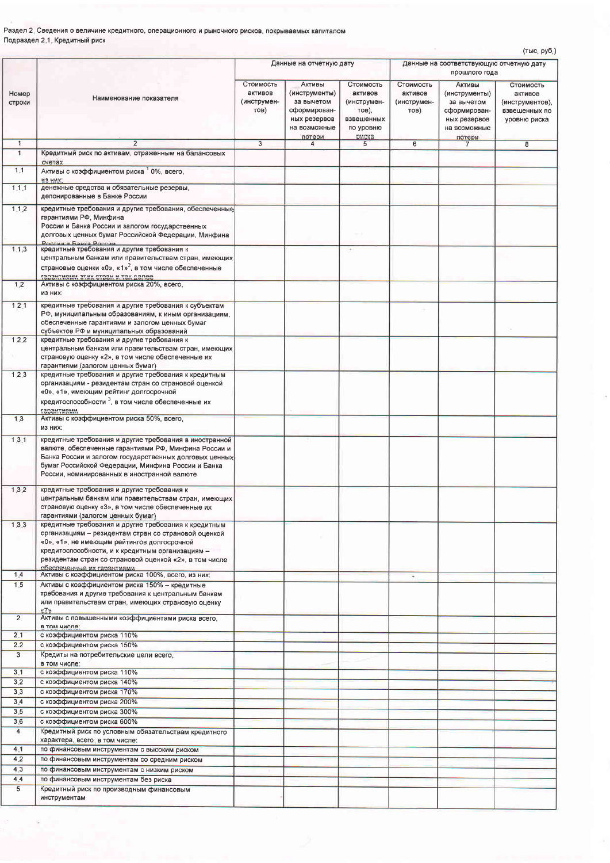Раздел 2. Сведения о величине кредитного, операционного и рыночного рисков, покрываемых капиталом Подраздел 2.1. Кредитный риск

|                 |                                                                                                                                                                                                                                                                                                         |                                             |                                                                                                 |                                                                                  |                                             |                                                                                                 | (тыс, руб,)                                                              |
|-----------------|---------------------------------------------------------------------------------------------------------------------------------------------------------------------------------------------------------------------------------------------------------------------------------------------------------|---------------------------------------------|-------------------------------------------------------------------------------------------------|----------------------------------------------------------------------------------|---------------------------------------------|-------------------------------------------------------------------------------------------------|--------------------------------------------------------------------------|
|                 |                                                                                                                                                                                                                                                                                                         | Данные на отчетную дату                     |                                                                                                 | Данные на соответствующую отчетную дату<br>прошлого года                         |                                             |                                                                                                 |                                                                          |
| Номер<br>строки | Наименование показателя                                                                                                                                                                                                                                                                                 | Стоимость<br>активов<br>(инструмен-<br>TOB) | Активы<br>(инструменты)<br>за вычетом<br>сформирован-<br>ных резервов<br>на возможные<br>потери | Стоимость<br>активов<br>(инструмен-<br>тов),<br>взвешенных<br>по уровню<br>риска | Стоимость<br>активов<br>(инструмен-<br>тов) | Активы<br>(инструменты)<br>за вычетом<br>сформирован-<br>ных резервов<br>на возможные<br>потери | Стоимость<br>активов<br>(инструментов),<br>взвещенных по<br>уровню риска |
| $\mathbf{1}$    | $\overline{2}$                                                                                                                                                                                                                                                                                          | $\overline{3}$                              | $\overline{4}$                                                                                  | 5                                                                                | 6                                           | $7\overline{ }$                                                                                 | $\mathbf{8}$                                                             |
| $\overline{1}$  | Кредитный риск по активам, отраженным на балансовых                                                                                                                                                                                                                                                     |                                             |                                                                                                 |                                                                                  |                                             |                                                                                                 |                                                                          |
| 1.1             | счетах<br>Активы с коэффициентом риска 1 0%, всего,                                                                                                                                                                                                                                                     |                                             |                                                                                                 |                                                                                  |                                             |                                                                                                 |                                                                          |
| 1.1.1           | из них:<br>денежные средства и обязательные резервы.<br>депонированные в Банке России                                                                                                                                                                                                                   |                                             |                                                                                                 |                                                                                  |                                             |                                                                                                 |                                                                          |
| 1.1.2           | кредитные требования и другие требования, обеспеченные<br>гарантиями РФ, Минфина<br>России и Банка России и залогом государственных<br>долговых ценных бумаг Российской Федерации, Минфина<br><b>POCCIAL H FOUVO POCCIAL</b>                                                                            |                                             |                                                                                                 |                                                                                  |                                             |                                                                                                 |                                                                          |
| 1.1.3           | кредитные требования и другие требования к<br>центральным банкам или правительствам стран, имеющих<br>страновые оценки «0», «1» <sup>2</sup> , в том числе обеспеченные<br>гарантиями этих стран и так далее                                                                                            |                                             |                                                                                                 |                                                                                  |                                             |                                                                                                 |                                                                          |
| 1.2             | Активы с коэффициентом риска 20%, всего,<br>из них:                                                                                                                                                                                                                                                     |                                             |                                                                                                 |                                                                                  |                                             |                                                                                                 |                                                                          |
| 1,2.1           | кредитные требования и другие требования к субъектам<br>РФ, муниципальным образованиям, к иным организациям.<br>обеспеченные гарантиями и залогом ценных бумаг<br>субъектов РФ и муниципальных образований                                                                                              |                                             |                                                                                                 |                                                                                  |                                             |                                                                                                 |                                                                          |
| 1,2.2           | кредитные требования и другие требования к<br>центральным банкам или правительствам стран, имеющих<br>страновую оценку «2», в том числе обеспеченные их<br>гарантиями (залогом ценных бумаг)                                                                                                            |                                             |                                                                                                 |                                                                                  |                                             |                                                                                                 |                                                                          |
| 1.2.3           | кредитные требования и другие требования к кредитным<br>организациям - резидентам стран со страновой оценкой<br>«0», «1», имеющим рейтинг долгосрочной<br>кредитоспособности <sup>3</sup> , в том числе обеспеченные их                                                                                 |                                             |                                                                                                 |                                                                                  |                                             |                                                                                                 |                                                                          |
| 1,3             | <b>мментнвавт</b><br>Активы с коэффициентом риска 50%, всего,<br>из них:                                                                                                                                                                                                                                |                                             |                                                                                                 |                                                                                  |                                             |                                                                                                 |                                                                          |
| 1.3.1           | кредитные требования и другие требования в иностранной<br>валюте, обеспеченные гарантиями РФ. Минфина России и<br>Банка России и залогом государственных долговых ценных<br>бумаг Российской Федерации, Минфина России и Банка<br>России, номинированных в иностранной валюте                           |                                             |                                                                                                 |                                                                                  |                                             |                                                                                                 |                                                                          |
| 1.3.2           | кредитные требования и другие требования к<br>центральным банкам или правительствам стран, имеющих<br>страновую оценку «3», в том числе обеспеченные их<br>гарантиями (залогом ценных бумаг)                                                                                                            |                                             |                                                                                                 |                                                                                  |                                             |                                                                                                 |                                                                          |
| 1.3.3           | кредитные требования и другие требования к кредитным<br>организациям - резидентам стран со страновой оценкой<br>«0», «1», не имеющим рейтингов долгосрочной<br>кредитоспособности, и к кредитным организациям -<br>резидентам стран со страновой оценкой «2», в том числе<br>обеспеченные их гарантиями |                                             |                                                                                                 |                                                                                  |                                             |                                                                                                 |                                                                          |
| 1.4             | Активы с коэффициентом риска 100%, всего, из них:                                                                                                                                                                                                                                                       |                                             |                                                                                                 |                                                                                  | ٠                                           |                                                                                                 |                                                                          |
| 1.5             | Активы с коэффициентом риска 150% - кредитные<br>требования и другие требования к центральным банкам<br>или правительствам стран, имеющих страновую оценку                                                                                                                                              |                                             |                                                                                                 |                                                                                  |                                             |                                                                                                 |                                                                          |
| $\overline{2}$  | $\alpha$ 7»<br>Активы с повышенными коэффициентами риска всего,                                                                                                                                                                                                                                         |                                             |                                                                                                 |                                                                                  |                                             |                                                                                                 |                                                                          |
| 2.1             | В ТОМ ЧИСЛЕ:<br>с коэффициентом риска 110%                                                                                                                                                                                                                                                              |                                             |                                                                                                 |                                                                                  |                                             |                                                                                                 |                                                                          |
| 2.2             | с коэффициентом риска 150%                                                                                                                                                                                                                                                                              |                                             |                                                                                                 |                                                                                  |                                             |                                                                                                 |                                                                          |
| 3               | Кредиты на потребительские цели всего,                                                                                                                                                                                                                                                                  |                                             |                                                                                                 |                                                                                  |                                             |                                                                                                 |                                                                          |
| 3.1             | в том числе:<br>с коэффициентом риска 110%                                                                                                                                                                                                                                                              |                                             |                                                                                                 |                                                                                  |                                             |                                                                                                 |                                                                          |
| 3.2             | с коэффициентом риска 140%                                                                                                                                                                                                                                                                              |                                             |                                                                                                 |                                                                                  |                                             |                                                                                                 |                                                                          |
| 3.3             | с коэффициентом риска 170%                                                                                                                                                                                                                                                                              |                                             |                                                                                                 |                                                                                  |                                             |                                                                                                 |                                                                          |
| 3,4             | с коэффициентом риска 200%                                                                                                                                                                                                                                                                              |                                             |                                                                                                 |                                                                                  |                                             |                                                                                                 |                                                                          |
| 3.5             | с коэффициентом риска 300%                                                                                                                                                                                                                                                                              |                                             |                                                                                                 |                                                                                  |                                             |                                                                                                 |                                                                          |
| 3.6             | с коэффициентом риска 600%                                                                                                                                                                                                                                                                              |                                             |                                                                                                 |                                                                                  |                                             |                                                                                                 |                                                                          |
| $\overline{4}$  | Кредитный риск по условным обязательствам кредитного<br>характера, всего, в том числе:                                                                                                                                                                                                                  |                                             |                                                                                                 |                                                                                  |                                             |                                                                                                 |                                                                          |
| 4.1             | по финансовым инструментам с высоким риском                                                                                                                                                                                                                                                             |                                             |                                                                                                 |                                                                                  |                                             |                                                                                                 |                                                                          |
| 4.2             | по финансовым инструментам со средним риском                                                                                                                                                                                                                                                            |                                             |                                                                                                 |                                                                                  |                                             |                                                                                                 |                                                                          |
| 4.3             | по финансовым инструментам с низким риском                                                                                                                                                                                                                                                              |                                             |                                                                                                 |                                                                                  |                                             |                                                                                                 |                                                                          |
| 4.4             | по финансовым инструментам без риска                                                                                                                                                                                                                                                                    |                                             |                                                                                                 |                                                                                  |                                             |                                                                                                 |                                                                          |
| 5               | Кредитный риск по производным финансовым<br>инструментам                                                                                                                                                                                                                                                |                                             |                                                                                                 |                                                                                  |                                             |                                                                                                 |                                                                          |